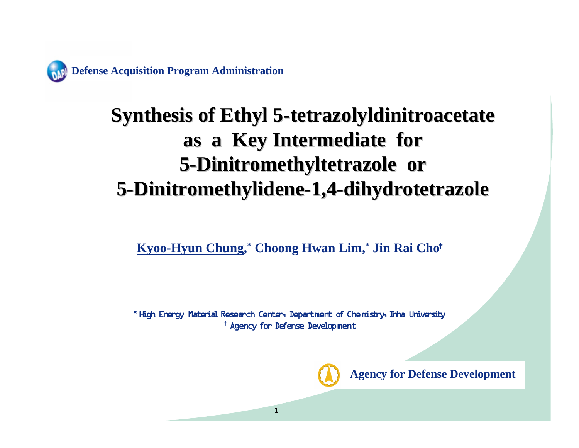**Defense Acquisition Program Administration**

### **Synthesis of Ethyl 5 Synthesis of Ethyl 5 -tetrazolyldinitroacetate tetrazolyldinitroacetate as a Key Intermediate for as a Key Intermediate for 5 -Dinitromethyltetrazole or Dinitromethyltetrazole or 5 -Dinitromethylidene Dinitromethylidene -1,4 -dihydrotetrazole dihydrotetrazole**

**Kyoo-Hyun Chung,\* Choong Hwan Lim,\* Jin Rai Cho**†

\* High Energy Material Research Center, Department of Chemistry, Inha University **†** Agency for Defense Development



**Agency for Defense Development**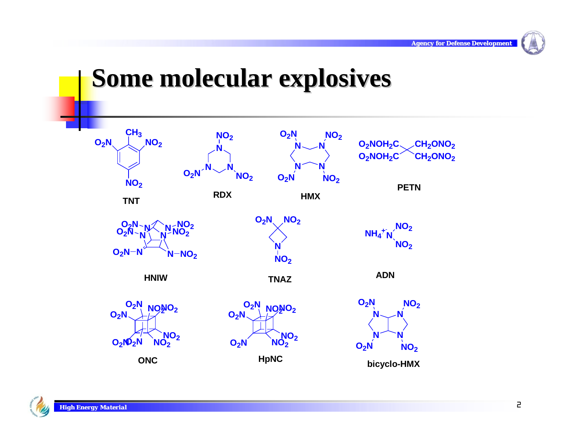

### **Some molecular explosives Some molecular explosives**

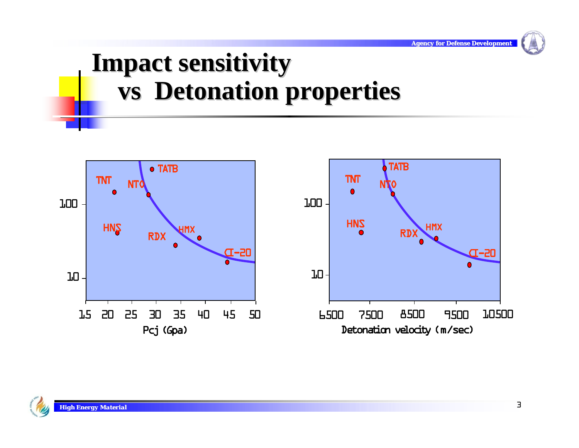# **Impact sensitivity Impact sensitivity vsDetonation properties Detonation properties**



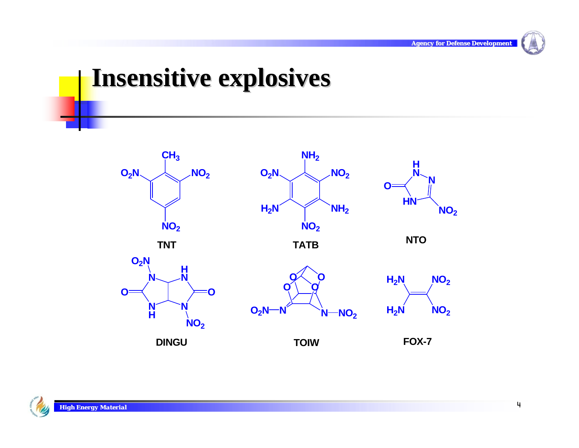

### **Insensitive explosives**

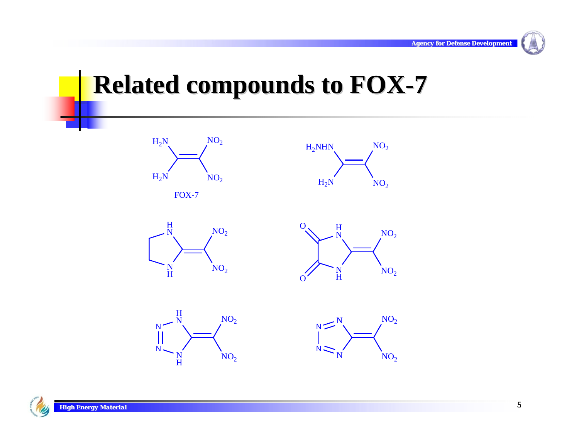

### **Related compounds to FOX-7**















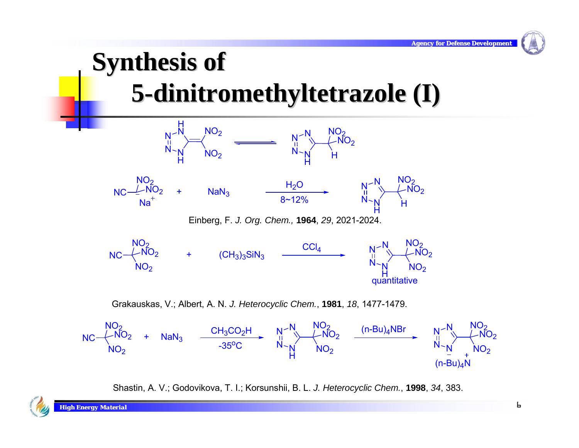$N_{\rm \smallsetminus}$ N

 $(n-Bu)$ <sub>A</sub>N



Shastin, A. V.; Godovikova, T. I.; Korsunshii, B. L. *J. Heterocyclic Chem.*, **1998**, *34*, 383.

N~<sub>N</sub><br>H

-35°C

 $\mathsf{NO_2}$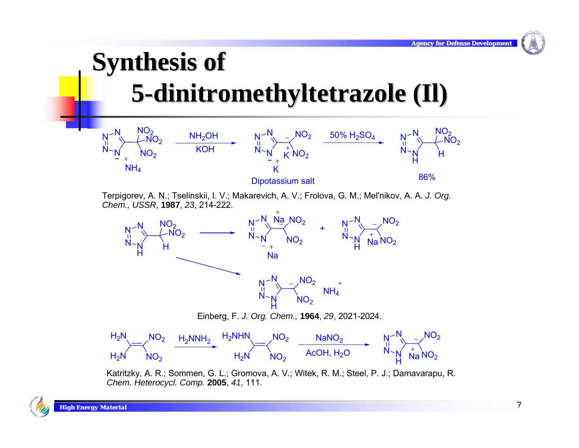# **Synthesis of 5-dinitromethyltetrazole (Il) dinitromethyltetrazole (Il)**



Terpigorev, A. N.; Tselinskii, I. V.; Makarevich, A. V.; Frolova, G. M.; Mel'nikov, A. A. *J. Org. Chem., USSR*, **1987**, *23*, 214-222.



Katritzky, A. R.; Sommen, G. L.; Gromova, A. V.; Witek, R. M.; Steel, P. J.; Damavarapu, R. *Chem. Heterocycl. Comp.* **2005**, *41*, 111.

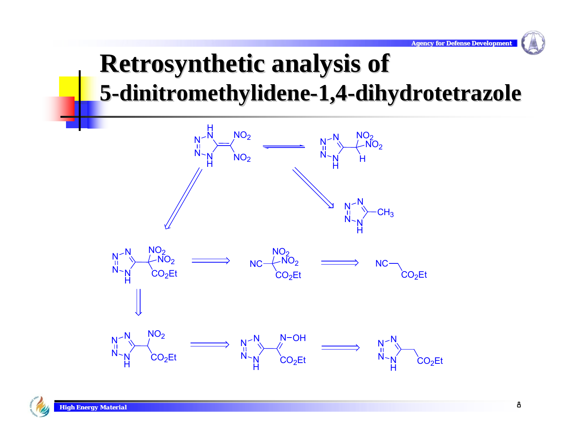### **Retrosynthetic analysis of <u>1</u> 5-dinitromethylidene-1,4-dihydrotetrazole</u>**

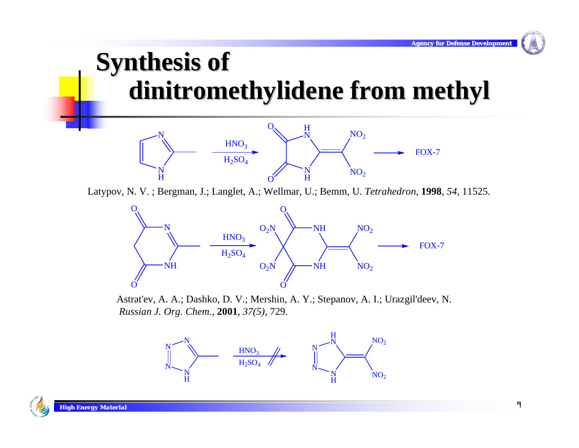### **Synthesis of dinitromethylidene dinitromethylidene from methyl from methyl**



Latypov, N. V. ; Bergman, J.; Langlet, A.; Wellmar, U.; Bemm, U. *Tetrahedron*, **1998**, *54*, 11525.



Astrat'ev, A. A.; Dashko, D. V.; Mershin, A. Y.; Stepanov, A. I.; Urazgil'deev, N. *Russian J. Org. Chem.*, **2001**, *37(5)*, 729.



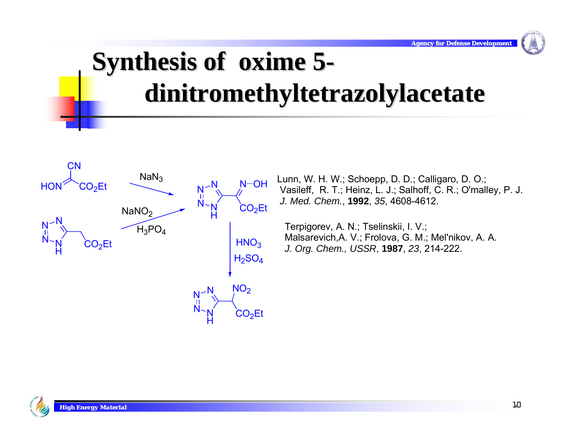# **Synthesis of oxime 5dinitromethyltetrazolylacetate dinitromethyltetrazolylacetate**



Lunn, W. H. W.; Schoepp, D. D.; Calligaro, D. O.; Vasileff, R. T.; Heinz, L. J.; Salhoff, C. R.; O'malley, P. J.  *J. Med. Chem.*, **1992**, *35*, 4608-4612.

Terpigorev, A. N.; Tselinskii, I. V.; Malsarevich,A. V.; Frolova, G. M.; Mel'nikov, A. A. *J. Org. Chem., USSR*, **1987**, *23*, 214-222.

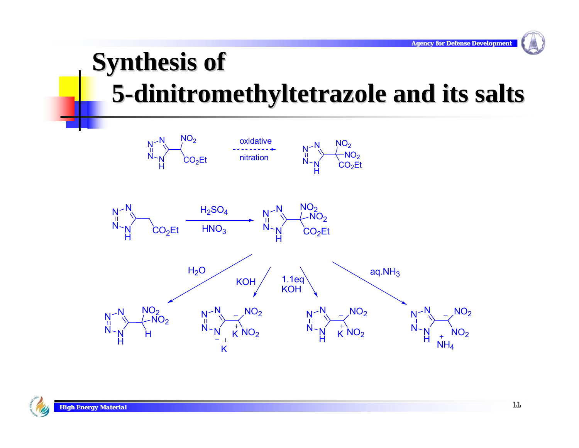# **Synthesis of 5-dinitromethyltetrazole and its salts dinitromethyltetrazole and its salts**



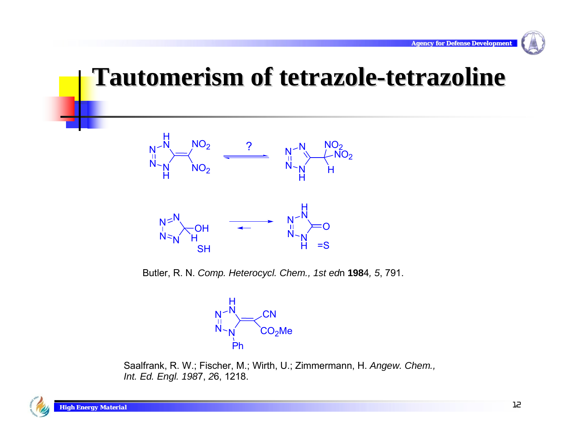

### **Tautomerism Tautomerism of tetrazole tetrazole-tetrazoline tetrazoline**



Butler, R. N. *Comp. Heterocycl. Chem., 1st ed*n **198**4*, 5*, 791.



Saalfrank, R. W.; Fischer, M.; Wirth, U.; Zimmermann, H. *Angew. Chem., Int. Ed. Engl. 198*7, *2*6, 1218.

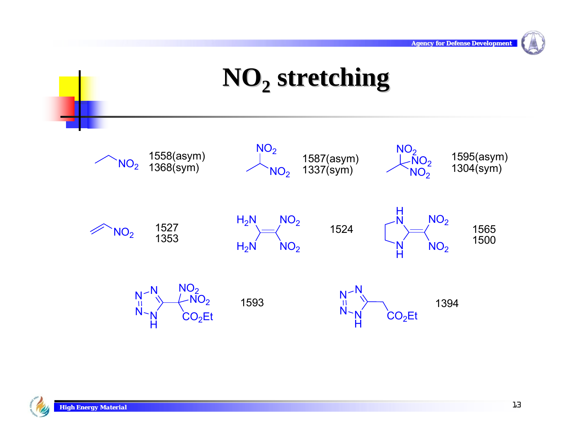### $NO<sub>2</sub>$  **stretching**



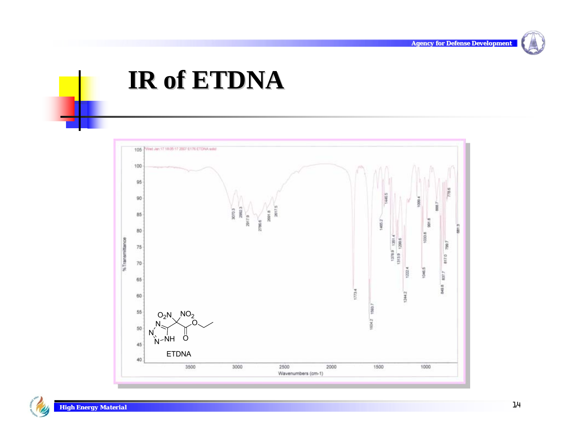

### **IR of ETDNA IR of ETDNA**



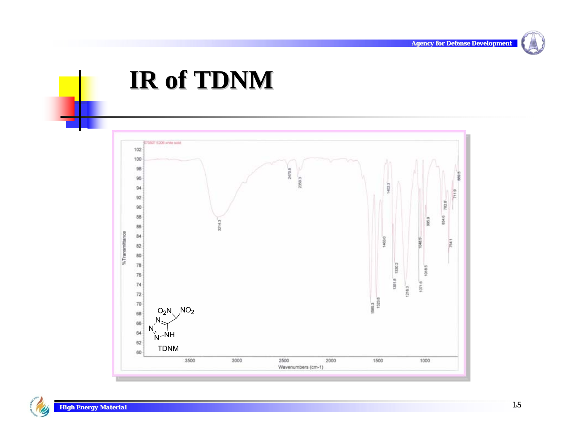

### **IR of TDNM IR of TDNM**



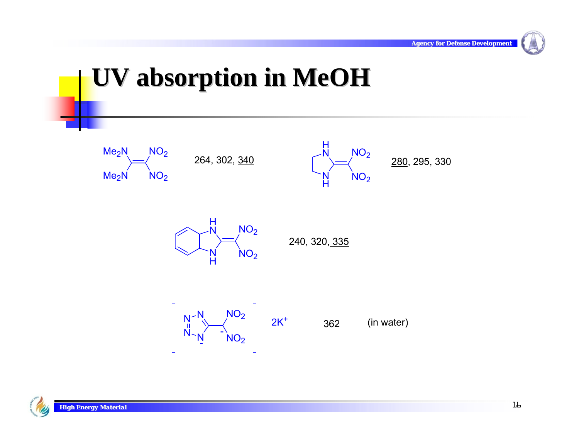# **UV absorption in UV absorption in MeOH**











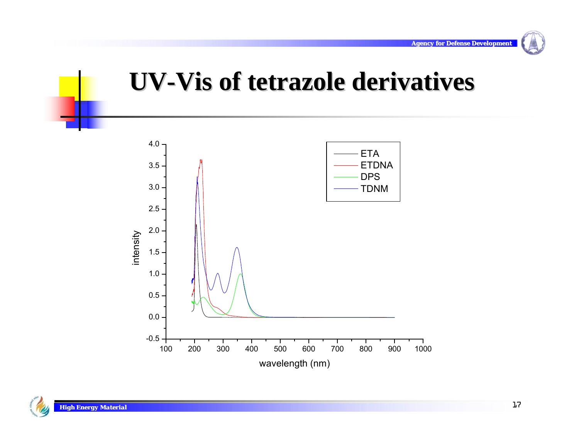### **UV-Vis of tetrazole derivatives**

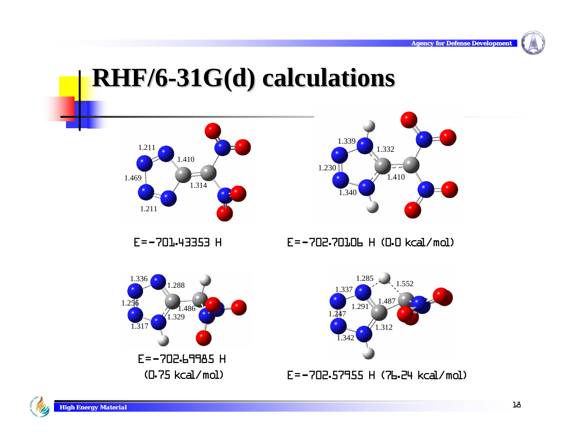### **RHF/6-31G(d) calculations 31G(d) calculations**





E=-701.43353 H

E=-702.70106 H (0.0 kcal/mol)



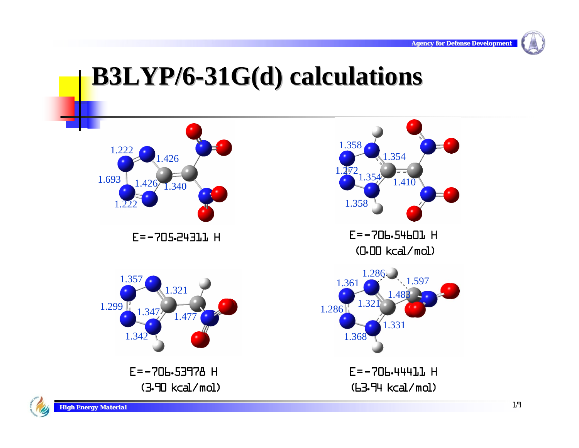

### **B3LYP/6 B3LYP/6-31G(d) calculations 31G(d) calculations**

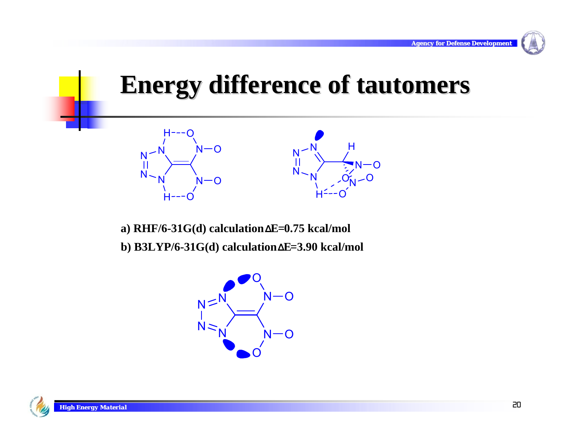### **Energy difference of Energy difference of tautomers tautomers**



**a) RHF/6-31G(d) calculation ΔE=0.75 kcal/mol b) B3LYP/6-31G(d) calculation ΔE=3.90 kcal/mol**



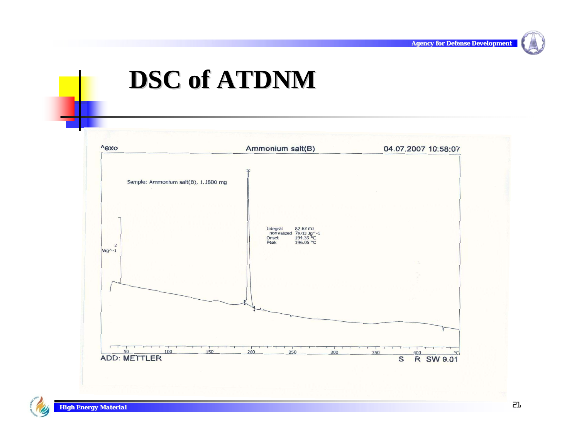

### **DSC of ATDNM DSC of ATDNM**

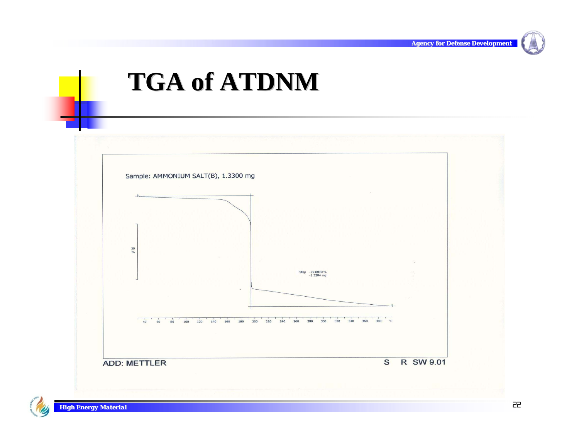

### **TGA of ATDNM TGA of ATDNM**

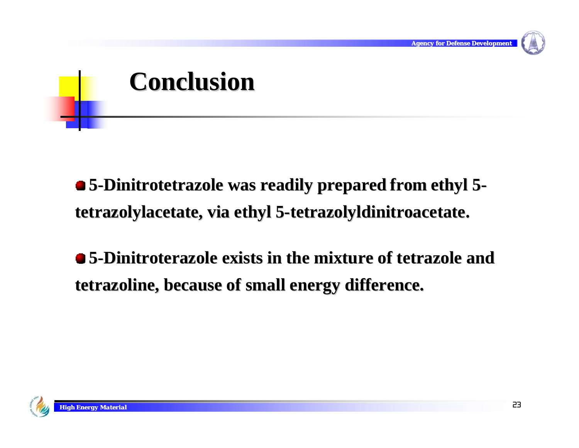

# **Conclusion Conclusion**

 $\bullet$  **5-Dinitrotetrazole was readily prepared from ethyl 5tetrazolylacetate, via ethyl 5-tetrazolyldinitroacetate.** 

**5-Dinitroterazole exists in the mixture of tetrazole and tetrazoline tetrazoline, because of small energy difference. , because of small energy difference.**

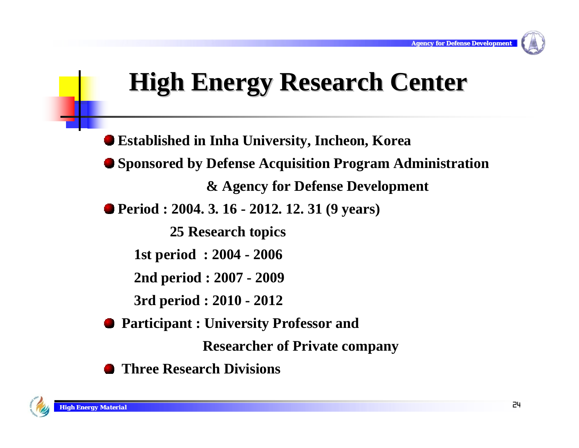### **High Energy Research Center High Energy Research Center**

**Established in Inha University, Incheon, Korea Sponsored by Defense Acquisition Program Administration & Agency for Defense Development Period : 2004. 3. 16 - 2012. 12. 31 (9 years) 25 Research topics 1st period : 2004 - 2006 2nd period : 2007 - 2009 3rd period : 2010 - 2012 Participant : University Professor and Researcher of Private company**

**Three Research Divisions**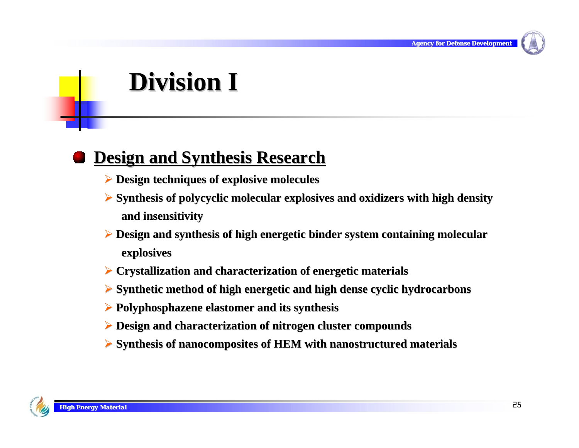

### **Division I Division I**

### **Design and Synthesis Research Design and Synthesis Research**

- ¾ **Design techniques of explosive molecules Design techniques explosive molecules**
- ¾ **Synthesis of polycyclic molecula Synthesis of polycyclic molecular explosives and oxidize r explosives and oxidizers with high density high density and insensit and insensitivity**
- **► Design and synthesis of high energetic binder system containing molecular explosives explosives**
- ¾ **Crystallization and characteriza Crystallization and characterization of energetic materials tion of energetic materials**
- **► Synthetic method of high energetic and high dense cyclic hydrocarbons**
- ¾ **Polyphosphazene Polyphosphazene elastomer elastomer and its synthesis and its synthesis**
- **Example 3 Pesign and characterization of nitrogen cluster compounds**
- ¾ **Synthesis of Synthesis of nanocomposites nanocomposites of HEM with of with nanostructured structured materials materials**

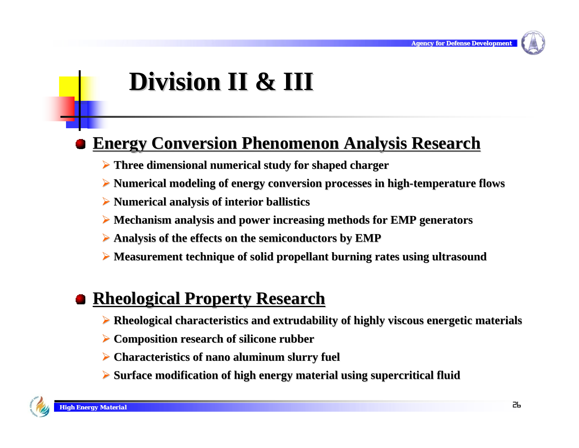

# **Division II & III Division II & III**

### **Energy Conversion Phenomenon Analysis Research**

- **► Three dimensional numerical study for shaped charger**
- ¾ **Numerical modeling of energy conversion Numerical modeling of energy conversion processes in high processes in high-temperature flows temperature flows**
- ¾ **Numerical an Numerical analysis of alysis of interior ballistics interior ballistics**
- **▶ Mechanism analysis and power increasing methods for EMP generators**
- ¾ **Analysis of the effects on the semiconductors by EMP Analysis of the effects on the semiconductors by EMP**
- **► Measurement technique of solid propellant burning rates using ultrasound**

### **Rheological Rheological Property Research Property Research**

- $\triangleright$  Rheological characteristics and extrudability of highly viscous energetic materials
- **EXACOMPOSITION research of silicone rubber**
- **Example 2 Characteristics of nano aluminum slurry fuel P**
- ¾ **Surface modification of h Surface modification of high energy material using supercritica ergy material using supercritical fluid l fluid**